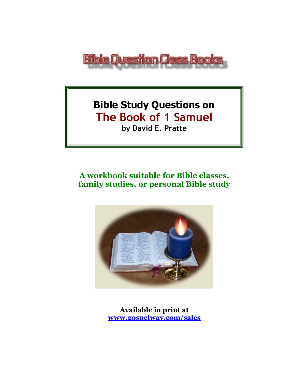

# **Bible Study Questions on The Book of 1 Samuel by David E. Pratte**

# **A workbook suitable for Bible classes, family studies, or personal Bible study**



**Available in print at [www.gospelway.com/sales](https://www.gospelway.com/sales)**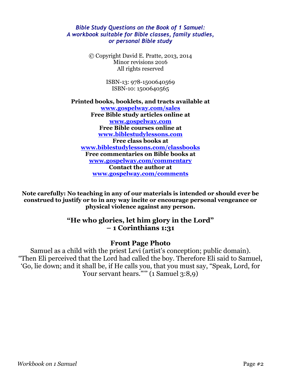#### *Bible Study Questions on the Book of 1 Samuel: A workbook suitable for Bible classes, family studies, or personal Bible study*

© Copyright David E. Pratte, 2013, 2014 Minor revisions 2016 All rights reserved

> ISBN-13: 978-1500640569 ISBN-10: 1500640565

**Printed books, booklets, and tracts available at [www.gospelway.com/sales](https://www.gospelway.com/sales) Free Bible study articles online at [www.gospelway.com](http://www.gospelway.com/) Free Bible courses online at [www.biblestudylessons.com](http://www.biblestudylessons.com/) Free class books at [www.biblestudylessons.com/classbooks](http://www.biblestudylessons.com/classbooks) Free commentaries on Bible books at [www.gospelway.com/commentary](http://www.gospelway.com/commentary) Contact the author at [www.gospelway.com/comments](http://www.gospelway.com/comments)**

**Note carefully: No teaching in any of our materials is intended or should ever be construed to justify or to in any way incite or encourage personal vengeance or physical violence against any person.**

#### **"He who glories, let him glory in the Lord" – 1 Corinthians 1:31**

#### **Front Page Photo**

Samuel as a child with the priest Levi (artist's conception; public domain). "Then Eli perceived that the Lord had called the boy. Therefore Eli said to Samuel, 'Go, lie down; and it shall be, if He calls you, that you must say, "Speak, Lord, for Your servant hears."" (1 Samuel 3:8,9)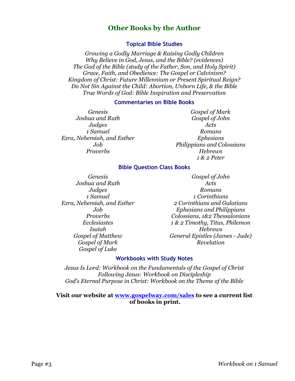#### **Other Books by the Author**

#### **Topical Bible Studies**

*Growing a Godly Marriage & Raising Godly Children Why Believe in God, Jesus, and the Bible? (evidences) The God of the Bible (study of the Father, Son, and Holy Spirit) Grace, Faith, and Obedience: The Gospel or Calvinism? Kingdom of Christ: Future Millennium or Present Spiritual Reign? Do Not Sin Against the Child: Abortion, Unborn Life, & the Bible True Words of God: Bible Inspiration and Preservation*

#### **Commentaries on Bible Books**

*Genesis Joshua and Ruth Judges 1 Samuel Ezra, Nehemiah, and Esther Job Proverbs*

*Gospel of Mark Gospel of John Acts Romans Ephesians Philippians and Colossians Hebrews 1 & 2 Peter*

#### **Bible Question Class Books**

*Genesis Joshua and Ruth Judges 1 Samuel Ezra, Nehemiah, and Esther Job Proverbs Ecclesiastes Isaiah Gospel of Matthew Gospel of Mark Gospel of Luke*

*Gospel of John Acts Romans 1 Corinthians 2 Corinthians and Galatians Ephesians and Philippians Colossians, 1&2 Thessalonians 1 & 2 Timothy, Titus, Philemon Hebrews General Epistles (James - Jude) Revelation*

#### **Workbooks with Study Notes**

*Jesus Is Lord: Workbook on the Fundamentals of the Gospel of Christ Following Jesus: Workbook on Discipleship God's Eternal Purpose in Christ: Workbook on the Theme of the Bible*

#### **Visit our website at [www.gospelway.com/sales](https://www.gospelway.com/sales) to see a current list of books in print.**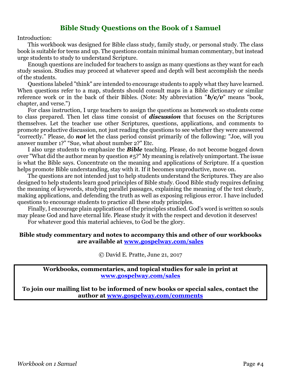#### **Bible Study Questions on the Book of 1 Samuel**

Introduction:

This workbook was designed for Bible class study, family study, or personal study. The class book is suitable for teens and up. The questions contain minimal human commentary, but instead urge students to study to understand Scripture.

Enough questions are included for teachers to assign as many questions as they want for each study session. Studies may proceed at whatever speed and depth will best accomplish the needs of the students.

Questions labeled "think" are intended to encourage students to apply what they have learned. When questions refer to a map, students should consult maps in a Bible dictionary or similar reference work or in the back of their Bibles. (Note: My abbreviation "*b/c/v*" means "book, chapter, and verse.")

For class instruction, I urge teachers to assign the questions as homework so students come to class prepared. Then let class time consist of *discussion* that focuses on the Scriptures themselves. Let the teacher use other Scriptures, questions, applications, and comments to promote productive discussion, not just reading the questions to see whether they were answered "correctly." Please, do *not* let the class period consist primarily of the following: "Joe, will you answer number 1?" "Sue, what about number 2?" Etc.

I also urge students to emphasize the *Bible* teaching. Please, do not become bogged down over "What did the author mean by question #5?" My meaning is relatively unimportant. The issue is what the Bible says. Concentrate on the meaning and applications of Scripture. If a question helps promote Bible understanding, stay with it. If it becomes unproductive, move on.

The questions are not intended just to help students understand the Scriptures. They are also designed to help students learn good principles of Bible study. Good Bible study requires defining the meaning of keywords, studying parallel passages, explaining the meaning of the text clearly, making applications, and defending the truth as well as exposing religious error. I have included questions to encourage students to practice all these study principles.

Finally, I encourage plain applications of the principles studied. God's word is written so souls may please God and have eternal life. Please study it with the respect and devotion it deserves!

For whatever good this material achieves, to God be the glory.

#### **Bible study commentary and notes to accompany this and other of our workbooks are available at [www.gospelway.com/sales](https://www.gospelway.com/sales)**

© David E. Pratte, June 21, 2017

**Workbooks, commentaries, and topical studies for sale in print at [www.gospelway.com/sales](https://www.gospelway.com/sales)**

**To join our mailing list to be informed of new books or special sales, contact the author at [www.gospelway.com/comments](http://www.gospelway.com/comments)**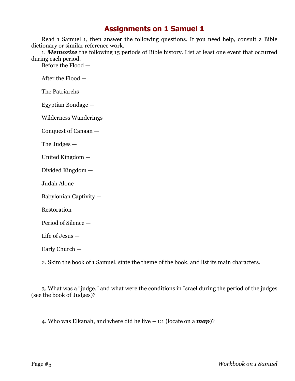Read 1 Samuel 1, then answer the following questions. If you need help, consult a Bible dictionary or similar reference work.

1. *Memorize* the following 15 periods of Bible history. List at least one event that occurred during each period.

Before the Flood —

After the Flood —

The Patriarchs —

Egyptian Bondage —

Wilderness Wanderings —

Conquest of Canaan —

The Judges —

United Kingdom —

Divided Kingdom —

Judah Alone —

Babylonian Captivity —

Restoration —

Period of Silence —

Life of Jesus —

Early Church —

2. Skim the book of 1 Samuel, state the theme of the book, and list its main characters.

3. What was a "judge," and what were the conditions in Israel during the period of the judges (see the book of Judges)?

4. Who was Elkanah, and where did he live – 1:1 (locate on a *map*)?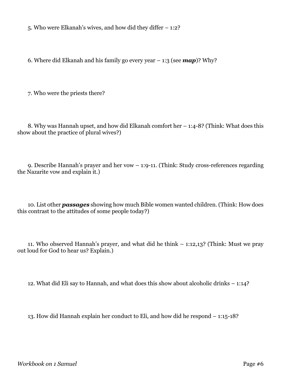5. Who were Elkanah's wives, and how did they differ – 1:2?

6. Where did Elkanah and his family go every year – 1:3 (see *map*)? Why?

7. Who were the priests there?

8. Why was Hannah upset, and how did Elkanah comfort her – 1:4-8? (Think: What does this show about the practice of plural wives?)

9. Describe Hannah's prayer and her vow – 1:9-11. (Think: Study cross-references regarding the Nazarite vow and explain it.)

10. List other *passages* showing how much Bible women wanted children. (Think: How does this contrast to the attitudes of some people today?)

11. Who observed Hannah's prayer, and what did he think – 1:12,13? (Think: Must we pray out loud for God to hear us? Explain.)

12. What did Eli say to Hannah, and what does this show about alcoholic drinks – 1:14?

13. How did Hannah explain her conduct to Eli, and how did he respond – 1:15-18?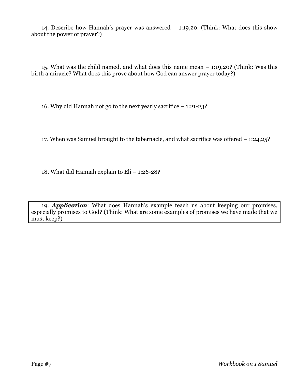14. Describe how Hannah's prayer was answered – 1:19,20. (Think: What does this show about the power of prayer?)

15. What was the child named, and what does this name mean – 1:19,20? (Think: Was this birth a miracle? What does this prove about how God can answer prayer today?)

16. Why did Hannah not go to the next yearly sacrifice – 1:21-23?

17. When was Samuel brought to the tabernacle, and what sacrifice was offered – 1:24,25?

18. What did Hannah explain to Eli – 1:26-28?

19. *Application*: What does Hannah's example teach us about keeping our promises, especially promises to God? (Think: What are some examples of promises we have made that we must keep?)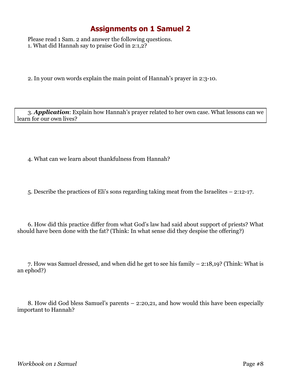Please read 1 Sam. 2 and answer the following questions. 1. What did Hannah say to praise God in 2:1,2?

2. In your own words explain the main point of Hannah's prayer in 2:3-10.

3. *Application*: Explain how Hannah's prayer related to her own case. What lessons can we learn for our own lives?

4. What can we learn about thankfulness from Hannah?

5. Describe the practices of Eli's sons regarding taking meat from the Israelites – 2:12-17.

6. How did this practice differ from what God's law had said about support of priests? What should have been done with the fat? (Think: In what sense did they despise the offering?)

7. How was Samuel dressed, and when did he get to see his family – 2:18,19? (Think: What is an ephod?)

8. How did God bless Samuel's parents – 2:20,21, and how would this have been especially important to Hannah?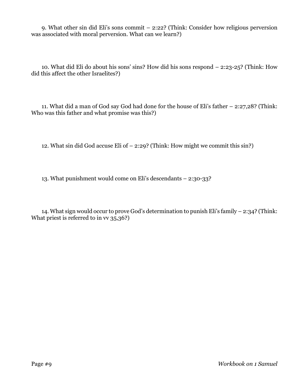9. What other sin did Eli's sons commit – 2:22? (Think: Consider how religious perversion was associated with moral perversion. What can we learn?)

10. What did Eli do about his sons' sins? How did his sons respond – 2:23-25? (Think: How did this affect the other Israelites?)

11. What did a man of God say God had done for the house of Eli's father – 2:27,28? (Think: Who was this father and what promise was this?)

12. What sin did God accuse Eli of – 2:29? (Think: How might we commit this sin?)

13. What punishment would come on Eli's descendants – 2:30-33?

14. What sign would occur to prove God's determination to punish Eli's family – 2:34? (Think: What priest is referred to in vv 35,36?)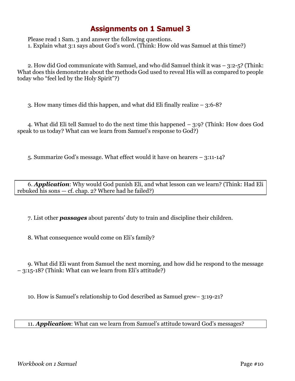Please read 1 Sam. 3 and answer the following questions. 1. Explain what 3:1 says about God's word. (Think: How old was Samuel at this time?)

2. How did God communicate with Samuel, and who did Samuel think it was – 3:2-5? (Think: What does this demonstrate about the methods God used to reveal His will as compared to people today who "feel led by the Holy Spirit"?)

3. How many times did this happen, and what did Eli finally realize – 3:6-8?

4. What did Eli tell Samuel to do the next time this happened – 3:9? (Think: How does God speak to us today? What can we learn from Samuel's response to God?)

5. Summarize God's message. What effect would it have on hearers – 3:11-14?

6. *Application*: Why would God punish Eli, and what lesson can we learn? (Think: Had Eli rebuked his sons — cf. chap. 2? Where had he failed?)

7. List other *passages* about parents' duty to train and discipline their children.

8. What consequence would come on Eli's family?

9. What did Eli want from Samuel the next morning, and how did he respond to the message – 3:15-18? (Think: What can we learn from Eli's attitude?)

10. How is Samuel's relationship to God described as Samuel grew– 3:19-21?

11. *Application*: What can we learn from Samuel's attitude toward God's messages?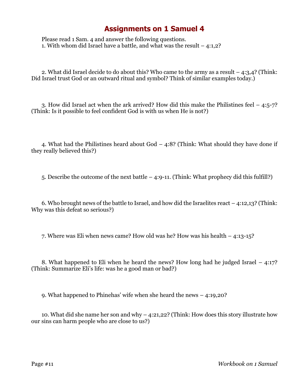Please read 1 Sam. 4 and answer the following questions. 1. With whom did Israel have a battle, and what was the result – 4:1,2?

2. What did Israel decide to do about this? Who came to the army as a result – 4:3,4? (Think: Did Israel trust God or an outward ritual and symbol? Think of similar examples today.)

3. How did Israel act when the ark arrived? How did this make the Philistines feel  $-4.5$ -7? (Think: Is it possible to feel confident God is with us when He is not?)

4. What had the Philistines heard about God – 4:8? (Think: What should they have done if they really believed this?)

5. Describe the outcome of the next battle – 4:9-11. (Think: What prophecy did this fulfill?)

6. Who brought news of the battle to Israel, and how did the Israelites react – 4:12,13? (Think: Why was this defeat so serious?)

7. Where was Eli when news came? How old was he? How was his health – 4:13-15?

8. What happened to Eli when he heard the news? How long had he judged Israel – 4:17? (Think: Summarize Eli's life: was he a good man or bad?)

9. What happened to Phinehas' wife when she heard the news – 4:19,20?

10. What did she name her son and why – 4:21,22? (Think: How does this story illustrate how our sins can harm people who are close to us?)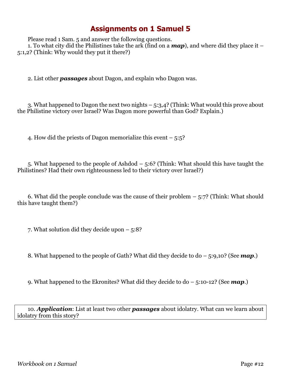Please read 1 Sam. 5 and answer the following questions.

1. To what city did the Philistines take the ark (find on a *map*), and where did they place it – 5:1,2? (Think: Why would they put it there?)

2. List other *passages* about Dagon, and explain who Dagon was.

3. What happened to Dagon the next two nights – 5:3,4? (Think: What would this prove about the Philistine victory over Israel? Was Dagon more powerful than God? Explain.)

4. How did the priests of Dagon memorialize this event – 5:5?

5. What happened to the people of Ashdod – 5:6? (Think: What should this have taught the Philistines? Had their own righteousness led to their victory over Israel?)

6. What did the people conclude was the cause of their problem  $-5:7$ ? (Think: What should this have taught them?)

7. What solution did they decide upon – 5:8?

8. What happened to the people of Gath? What did they decide to do – 5:9,10? (See *map*.)

9. What happened to the Ekronites? What did they decide to do – 5:10-12? (See *map*.)

10. *Application*: List at least two other *passages* about idolatry. What can we learn about idolatry from this story?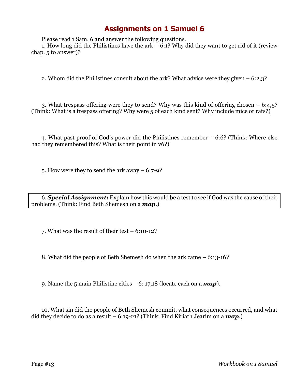Please read 1 Sam. 6 and answer the following questions.

1. How long did the Philistines have the ark – 6:1? Why did they want to get rid of it (review chap. 5 to answer)?

2. Whom did the Philistines consult about the ark? What advice were they given – 6:2,3?

3. What trespass offering were they to send? Why was this kind of offering chosen – 6:4,5? (Think: What is a trespass offering? Why were 5 of each kind sent? Why include mice or rats?)

4. What past proof of God's power did the Philistines remember – 6:6? (Think: Where else had they remembered this? What is their point in v6?)

5. How were they to send the ark away – 6:7-9?

6. *Special Assignment:* Explain how this would be a test to see if God was the cause of their problems. (Think: Find Beth Shemesh on a *map*.)

7. What was the result of their test – 6:10-12?

8. What did the people of Beth Shemesh do when the ark came – 6:13-16?

9. Name the 5 main Philistine cities – 6: 17,18 (locate each on a *map*).

10. What sin did the people of Beth Shemesh commit, what consequences occurred, and what did they decide to do as a result – 6:19-21? (Think: Find Kiriath Jearim on a *map*.)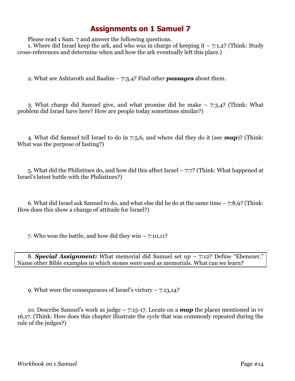Please read 1 Sam. 7 and answer the following questions.

1. Where did Israel keep the ark, and who was in charge of keeping it  $-7:1,2$ ? (Think: Study cross-references and determine when and how the ark eventually left this place.)

2. What are Ashtaroth and Baalim – 7:3,4? Find other *passages* about them.

3. What charge did Samuel give, and what promise did he make – 7:3,4? (Think: What problem did Israel have here? How are people today sometimes similar?)

4. What did Samuel tell Israel to do in 7:5,6, and where did they do it (see *map*)? (Think: What was the purpose of fasting?)

5. What did the Philistines do, and how did this affect Israel – 7:7? (Think: What happened at Israel's latest battle with the Philistines?)

6. What did Israel ask Samuel to do, and what else did he do at the same time – 7:8,9? (Think: How does this show a change of attitude for Israel?)

7. Who won the battle, and how did they win  $-7:10,11$ ?

8. *Special Assignment:* What memorial did Samuel set up – 7:12? Define "Ebenezer." Name other Bible examples in which stones were used as memorials. What can we learn?

9. What were the consequences of Israel's victory – 7:13,14?

10. Describe Samuel's work as judge – 7:15-17. Locate on a *map* the places mentioned in vv 16,17. (Think: How does this chapter illustrate the cycle that was commonly repeated during the rule of the judges?)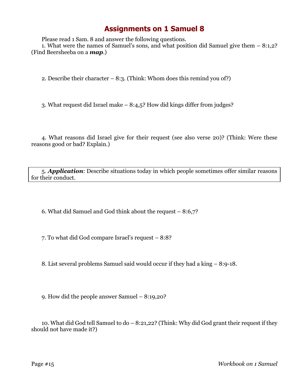Please read 1 Sam. 8 and answer the following questions.

1. What were the names of Samuel's sons, and what position did Samuel give them – 8:1,2? (Find Beersheeba on a *map*.)

2. Describe their character  $-8:3$ . (Think: Whom does this remind you of?)

3. What request did Israel make – 8:4,5? How did kings differ from judges?

4. What reasons did Israel give for their request (see also verse 20)? (Think: Were these reasons good or bad? Explain.)

5. *Application*: Describe situations today in which people sometimes offer similar reasons for their conduct.

6. What did Samuel and God think about the request – 8:6,7?

7. To what did God compare Israel's request – 8:8?

8. List several problems Samuel said would occur if they had a king – 8:9-18.

9. How did the people answer Samuel – 8:19,20?

10. What did God tell Samuel to do – 8:21,22? (Think: Why did God grant their request if they should not have made it?)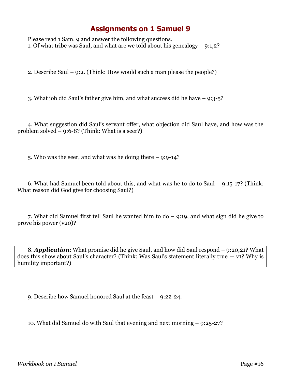Please read 1 Sam. 9 and answer the following questions. 1. Of what tribe was Saul, and what are we told about his genealogy – 9:1,2?

2. Describe Saul – 9:2. (Think: How would such a man please the people?)

3. What job did Saul's father give him, and what success did he have – 9:3-5?

4. What suggestion did Saul's servant offer, what objection did Saul have, and how was the problem solved  $-$  9:6-8? (Think: What is a seer?)

5. Who was the seer, and what was he doing there – 9:9-14?

6. What had Samuel been told about this, and what was he to do to Saul – 9:15-17? (Think: What reason did God give for choosing Saul?)

7. What did Samuel first tell Saul he wanted him to do – 9:19, and what sign did he give to prove his power (v20)?

8. *Application*: What promise did he give Saul, and how did Saul respond – 9:20,21? What does this show about Saul's character? (Think: Was Saul's statement literally true  $-$  v1? Why is humility important?)

9. Describe how Samuel honored Saul at the feast – 9:22-24.

10. What did Samuel do with Saul that evening and next morning – 9:25-27?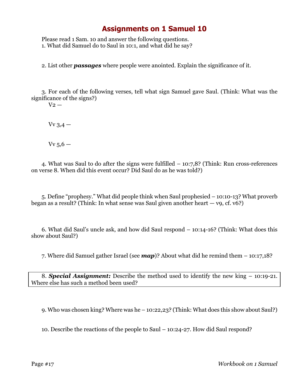Please read 1 Sam. 10 and answer the following questions. 1. What did Samuel do to Saul in 10:1, and what did he say?

2. List other *passages* where people were anointed. Explain the significance of it.

3. For each of the following verses, tell what sign Samuel gave Saul. (Think: What was the significance of the signs?)

 $V_2$  —

 $Vv$  3,4  $-$ 

 $Vv$  5,6  $-$ 

4. What was Saul to do after the signs were fulfilled – 10:7,8? (Think: Run cross-references on verse 8. When did this event occur? Did Saul do as he was told?)

5. Define "prophesy." What did people think when Saul prophesied – 10:10-13? What proverb began as a result? (Think: In what sense was Saul given another heart — v9, cf. v6?)

6. What did Saul's uncle ask, and how did Saul respond – 10:14-16? (Think: What does this show about Saul?)

7. Where did Samuel gather Israel (see *map*)? About what did he remind them – 10:17,18?

8. *Special Assignment:* Describe the method used to identify the new king – 10:19-21. Where else has such a method been used?

9. Who was chosen king? Where was he – 10:22,23? (Think: What does this show about Saul?)

10. Describe the reactions of the people to Saul – 10:24-27. How did Saul respond?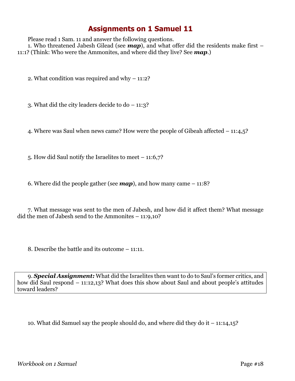Please read 1 Sam. 11 and answer the following questions.

1. Who threatened Jabesh Gilead (see *map*), and what offer did the residents make first – 11:1? (Think: Who were the Ammonites, and where did they live? See *map*.)

2. What condition was required and why – 11:2?

3. What did the city leaders decide to do – 11:3?

4. Where was Saul when news came? How were the people of Gibeah affected – 11:4,5?

5. How did Saul notify the Israelites to meet – 11:6,7?

6. Where did the people gather (see  $map$ ), and how many came – 11:8?

7. What message was sent to the men of Jabesh, and how did it affect them? What message did the men of Jabesh send to the Ammonites – 11:9,10?

8. Describe the battle and its outcome – 11:11.

9. *Special Assignment:* What did the Israelites then want to do to Saul's former critics, and how did Saul respond – 11:12,13? What does this show about Saul and about people's attitudes toward leaders?

10. What did Samuel say the people should do, and where did they do it – 11:14,15?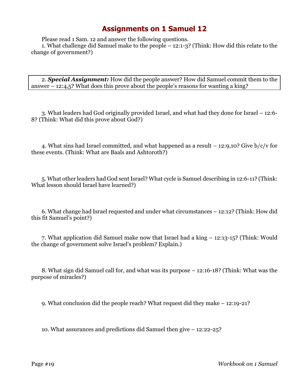Please read 1 Sam. 12 and answer the following questions.

1. What challenge did Samuel make to the people – 12:1-3? (Think: How did this relate to the change of government?)

2. *Special Assignment:* How did the people answer? How did Samuel commit them to the answer – 12:4,5? What does this prove about the people's reasons for wanting a king?

3. What leaders had God originally provided Israel, and what had they done for Israel – 12:6- 8? (Think: What did this prove about God?)

4. What sins had Israel committed, and what happened as a result  $-$  12:9,10? Give b/c/v for these events. (Think: What are Baals and Ashtoroth?)

5. What other leaders had God sent Israel? What cycle is Samuel describing in 12:6-11? (Think: What lesson should Israel have learned?)

6. What change had Israel requested and under what circumstances – 12:12? (Think: How did this fit Samuel's point?)

7. What application did Samuel make now that Israel had a king – 12:13-15? (Think: Would the change of government solve Israel's problem? Explain.)

8. What sign did Samuel call for, and what was its purpose – 12:16-18? (Think: What was the purpose of miracles?)

9. What conclusion did the people reach? What request did they make – 12:19-21?

10. What assurances and predictions did Samuel then give – 12:22-25?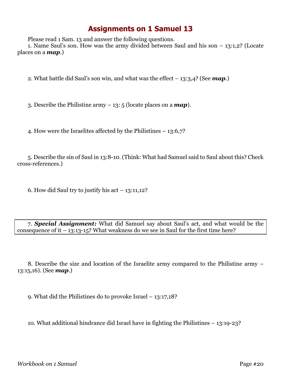Please read 1 Sam. 13 and answer the following questions.

1. Name Saul's son. How was the army divided between Saul and his son – 13:1,2? (Locate places on a *map*.)

2. What battle did Saul's son win, and what was the effect – 13:3,4? (See *map*.)

3. Describe the Philistine army – 13: 5 (locate places on a *map*).

4. How were the Israelites affected by the Philistines – 13:6,7?

5. Describe the sin of Saul in 13:8-10. (Think: What had Samuel said to Saul about this? Check cross-references.)

6. How did Saul try to justify his act  $-13:11,12$ ?

7. *Special Assignment:* What did Samuel say about Saul's act, and what would be the consequence of it  $-13:13-15$ ? What weakness do we see in Saul for the first time here?

8. Describe the size and location of the Israelite army compared to the Philistine army – 13:15,16). (See *map*.)

9. What did the Philistines do to provoke Israel – 13:17,18?

10. What additional hindrance did Israel have in fighting the Philistines – 13:19-23?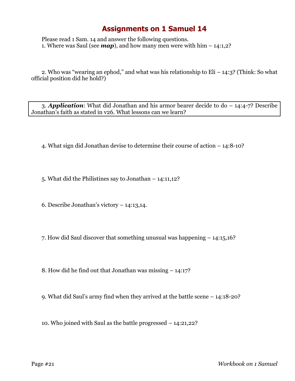Please read 1 Sam. 14 and answer the following questions. 1. Where was Saul (see  $map$ ), and how many men were with him  $-14:1,2$ ?

2. Who was "wearing an ephod," and what was his relationship to  $Eli - 14:3$ ? (Think: So what official position did he hold?)

3. *Application*: What did Jonathan and his armor bearer decide to do – 14:4-7? Describe Jonathan's faith as stated in v26. What lessons can we learn?

4. What sign did Jonathan devise to determine their course of action – 14:8-10?

5. What did the Philistines say to Jonathan – 14:11,12?

6. Describe Jonathan's victory – 14:13,14.

7. How did Saul discover that something unusual was happening – 14:15,16?

8. How did he find out that Jonathan was missing – 14:17?

9. What did Saul's army find when they arrived at the battle scene – 14:18-20?

10. Who joined with Saul as the battle progressed – 14:21,22?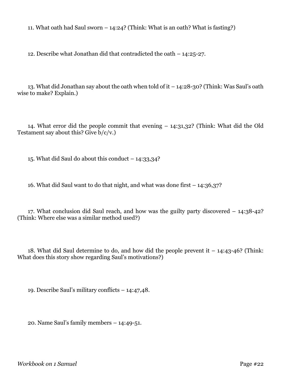11. What oath had Saul sworn  $-14:24$ ? (Think: What is an oath? What is fasting?)

12. Describe what Jonathan did that contradicted the oath – 14:25-27.

13. What did Jonathan say about the oath when told of it – 14:28-30? (Think: Was Saul's oath wise to make? Explain.)

14. What error did the people commit that evening – 14:31,32? (Think: What did the Old Testament say about this? Give  $b/c/v$ .

15. What did Saul do about this conduct – 14:33,34?

16. What did Saul want to do that night, and what was done first – 14:36,37?

17. What conclusion did Saul reach, and how was the guilty party discovered – 14:38-42? (Think: Where else was a similar method used?)

18. What did Saul determine to do, and how did the people prevent it – 14:43-46? (Think: What does this story show regarding Saul's motivations?)

19. Describe Saul's military conflicts – 14:47,48.

20. Name Saul's family members – 14:49-51.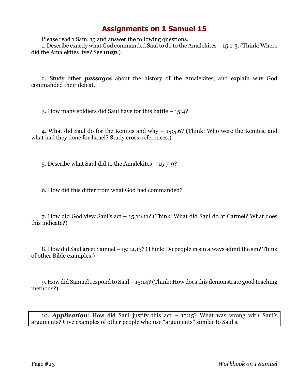Please read 1 Sam. 15 and answer the following questions.

1. Describe exactly what God commanded Saul to do to the Amalekites – 15:1-3. (Think: Where did the Amalekites live? See *map*.)

2. Study other *passages* about the history of the Amalekites, and explain why God commanded their defeat.

3. How many soldiers did Saul have for this battle – 15:4?

4. What did Saul do for the Kenites and why – 15:5,6? (Think: Who were the Kenites, and what had they done for Israel? Study cross-references.)

5. Describe what Saul did to the Amalekites – 15:7-9?

6. How did this differ from what God had commanded?

7. How did God view Saul's act – 15:10,11? (Think: What did Saul do at Carmel? What does this indicate?)

8. How did Saul greet Samuel – 15:12,13? (Think: Do people in sin always admit the sin? Think of other Bible examples.)

9. How did Samuel respond to Saul – 15:14? (Think: How does this demonstrate good teaching methods?)

10. *Application*: How did Saul justify this act – 15:15? What was wrong with Saul's arguments? Give examples of other people who use "arguments" similar to Saul's.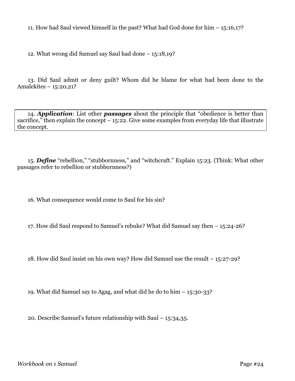11. How had Saul viewed himself in the past? What had God done for him – 15:16,17?

12. What wrong did Samuel say Saul had done – 15:18,19?

13. Did Saul admit or deny guilt? Whom did he blame for what had been done to the Amalekites – 15:20,21?

14. *Application*: List other *passages* about the principle that "obedience is better than sacrifice," then explain the concept  $-15:22$ . Give some examples from everyday life that illustrate the concept.

15. *Define* "rebellion," "stubbornness," and "witchcraft." Explain 15:23. (Think: What other passages refer to rebellion or stubbornness?)

16. What consequence would come to Saul for his sin?

17. How did Saul respond to Samuel's rebuke? What did Samuel say then – 15:24-26?

18. How did Saul insist on his own way? How did Samuel use the result – 15:27-29?

19. What did Samuel say to Agag, and what did he do to him – 15:30-33?

20. Describe Samuel's future relationship with Saul – 15:34,35.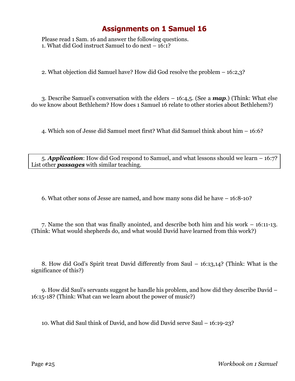Please read 1 Sam. 16 and answer the following questions. 1. What did God instruct Samuel to do next – 16:1?

2. What objection did Samuel have? How did God resolve the problem – 16:2,3?

3. Describe Samuel's conversation with the elders – 16:4,5. (See a *map*.) (Think: What else do we know about Bethlehem? How does 1 Samuel 16 relate to other stories about Bethlehem?)

4. Which son of Jesse did Samuel meet first? What did Samuel think about him – 16:6?

5. *Application*: How did God respond to Samuel, and what lessons should we learn – 16:7? List other *passages* with similar teaching.

6. What other sons of Jesse are named, and how many sons did he have – 16:8-10?

7. Name the son that was finally anointed, and describe both him and his work – 16:11-13. (Think: What would shepherds do, and what would David have learned from this work?)

8. How did God's Spirit treat David differently from Saul – 16:13,14? (Think: What is the significance of this?)

9. How did Saul's servants suggest he handle his problem, and how did they describe David – 16:15-18? (Think: What can we learn about the power of music?)

10. What did Saul think of David, and how did David serve Saul – 16:19-23?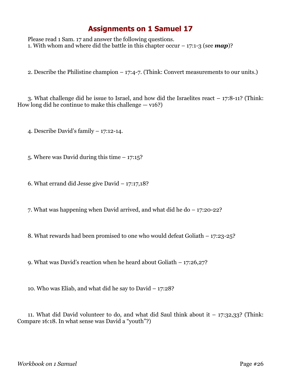Please read 1 Sam. 17 and answer the following questions. 1. With whom and where did the battle in this chapter occur – 17:1-3 (see *map*)?

2. Describe the Philistine champion – 17:4-7. (Think: Convert measurements to our units.)

3. What challenge did he issue to Israel, and how did the Israelites react – 17:8-11? (Think: How long did he continue to make this challenge  $-$  v16?)

4. Describe David's family – 17:12-14.

5. Where was David during this time – 17:15?

6. What errand did Jesse give David – 17:17,18?

7. What was happening when David arrived, and what did he do – 17:20-22?

8. What rewards had been promised to one who would defeat Goliath – 17:23-25?

9. What was David's reaction when he heard about Goliath – 17:26,27?

10. Who was Eliab, and what did he say to David – 17:28?

11. What did David volunteer to do, and what did Saul think about it  $-17:32,33$ ? (Think: Compare 16:18. In what sense was David a "youth"?)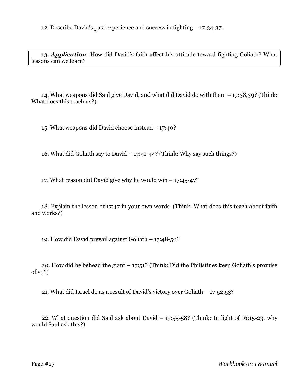12. Describe David's past experience and success in fighting – 17:34-37.

13. *Application*: How did David's faith affect his attitude toward fighting Goliath? What lessons can we learn?

14. What weapons did Saul give David, and what did David do with them – 17:38,39? (Think: What does this teach us?)

15. What weapons did David choose instead – 17:40?

16. What did Goliath say to David – 17:41-44? (Think: Why say such things?)

17. What reason did David give why he would win – 17:45-47?

18. Explain the lesson of 17:47 in your own words. (Think: What does this teach about faith and works?)

19. How did David prevail against Goliath – 17:48-50?

20. How did he behead the giant  $-17:51$ ? (Think: Did the Philistines keep Goliath's promise of v9?)

21. What did Israel do as a result of David's victory over Goliath – 17:52,53?

22. What question did Saul ask about David  $-17:55-58$ ? (Think: In light of 16:15-23, why would Saul ask this?)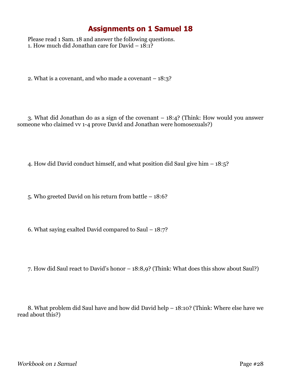Please read 1 Sam. 18 and answer the following questions. 1. How much did Jonathan care for David  $-18:1$ ?

2. What is a covenant, and who made a covenant – 18:3?

3. What did Jonathan do as a sign of the covenant – 18:4? (Think: How would you answer someone who claimed vv 1-4 prove David and Jonathan were homosexuals?)

4. How did David conduct himself, and what position did Saul give him – 18:5?

5. Who greeted David on his return from battle – 18:6?

6. What saying exalted David compared to Saul – 18:7?

7. How did Saul react to David's honor – 18:8,9? (Think: What does this show about Saul?)

8. What problem did Saul have and how did David help – 18:10? (Think: Where else have we read about this?)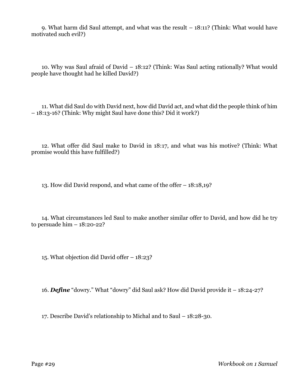9. What harm did Saul attempt, and what was the result – 18:11? (Think: What would have motivated such evil?)

10. Why was Saul afraid of David – 18:12? (Think: Was Saul acting rationally? What would people have thought had he killed David?)

11. What did Saul do with David next, how did David act, and what did the people think of him – 18:13-16? (Think: Why might Saul have done this? Did it work?)

12. What offer did Saul make to David in 18:17, and what was his motive? (Think: What promise would this have fulfilled?)

13. How did David respond, and what came of the offer – 18:18,19?

14. What circumstances led Saul to make another similar offer to David, and how did he try to persuade him  $-18:20-22$ ?

15. What objection did David offer – 18:23?

16. *Define* "dowry." What "dowry" did Saul ask? How did David provide it – 18:24-27?

17. Describe David's relationship to Michal and to Saul – 18:28-30.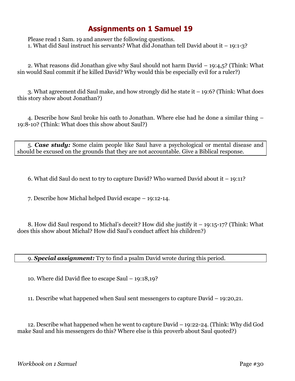Please read 1 Sam. 19 and answer the following questions. 1. What did Saul instruct his servants? What did Jonathan tell David about it – 19:1-3?

2. What reasons did Jonathan give why Saul should not harm David – 19:4,5? (Think: What sin would Saul commit if he killed David? Why would this be especially evil for a ruler?)

3. What agreement did Saul make, and how strongly did he state it – 19:6? (Think: What does this story show about Jonathan?)

4. Describe how Saul broke his oath to Jonathan. Where else had he done a similar thing – 19:8-10? (Think: What does this show about Saul?)

5. *Case study:* Some claim people like Saul have a psychological or mental disease and should be excused on the grounds that they are not accountable. Give a Biblical response.

6. What did Saul do next to try to capture David? Who warned David about it – 19:11?

7. Describe how Michal helped David escape – 19:12-14.

8. How did Saul respond to Michal's deceit? How did she justify it – 19:15-17? (Think: What does this show about Michal? How did Saul's conduct affect his children?)

9. *Special assignment:* Try to find a psalm David wrote during this period.

10. Where did David flee to escape Saul – 19:18,19?

11. Describe what happened when Saul sent messengers to capture David – 19:20,21.

12. Describe what happened when he went to capture David – 19:22-24. (Think: Why did God make Saul and his messengers do this? Where else is this proverb about Saul quoted?)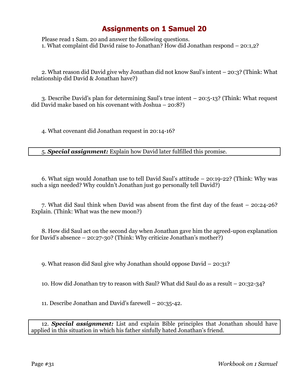Please read 1 Sam. 20 and answer the following questions. 1. What complaint did David raise to Jonathan? How did Jonathan respond – 20:1,2?

2. What reason did David give why Jonathan did not know Saul's intent – 20:3? (Think: What relationship did David & Jonathan have?)

3. Describe David's plan for determining Saul's true intent – 20:5-13? (Think: What request did David make based on his covenant with Joshua – 20:8?)

4. What covenant did Jonathan request in 20:14-16?

5. *Special assignment:* Explain how David later fulfilled this promise.

6. What sign would Jonathan use to tell David Saul's attitude – 20:19-22? (Think: Why was such a sign needed? Why couldn't Jonathan just go personally tell David?)

7. What did Saul think when David was absent from the first day of the feast – 20:24-26? Explain. (Think: What was the new moon?)

8. How did Saul act on the second day when Jonathan gave him the agreed-upon explanation for David's absence – 20:27-30? (Think: Why criticize Jonathan's mother?)

9. What reason did Saul give why Jonathan should oppose David – 20:31?

10. How did Jonathan try to reason with Saul? What did Saul do as a result – 20:32-34?

11. Describe Jonathan and David's farewell – 20:35-42.

12. *Special assignment:* List and explain Bible principles that Jonathan should have applied in this situation in which his father sinfully hated Jonathan's friend.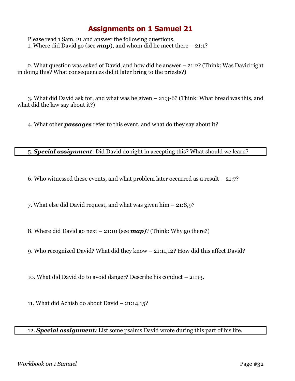Please read 1 Sam. 21 and answer the following questions. 1. Where did David go (see  $map$ ), and whom did he meet there  $-21:1$ ?

2. What question was asked of David, and how did he answer – 21:2? (Think: Was David right in doing this? What consequences did it later bring to the priests?)

3. What did David ask for, and what was he given – 21:3-6? (Think: What bread was this, and what did the law say about it?)

4. What other *passages* refer to this event, and what do they say about it?

5. *Special assignment*: Did David do right in accepting this? What should we learn?

6. Who witnessed these events, and what problem later occurred as a result – 21:7?

7. What else did David request, and what was given him – 21:8,9?

8. Where did David go next – 21:10 (see *map*)? (Think: Why go there?)

9. Who recognized David? What did they know – 21:11,12? How did this affect David?

10. What did David do to avoid danger? Describe his conduct – 21:13.

11. What did Achish do about David – 21:14,15?

12. *Special assignment:* List some psalms David wrote during this part of his life.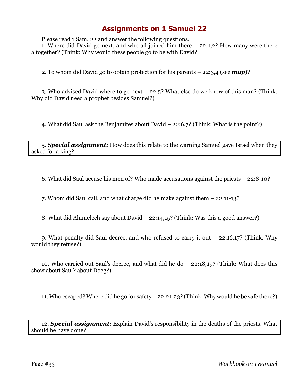Please read 1 Sam. 22 and answer the following questions.

1. Where did David go next, and who all joined him there – 22:1,2? How many were there altogether? (Think: Why would these people go to be with David?

2. To whom did David go to obtain protection for his parents – 22:3,4 (see *map*)?

3. Who advised David where to go next – 22:5? What else do we know of this man? (Think: Why did David need a prophet besides Samuel?)

4. What did Saul ask the Benjamites about David – 22:6,7? (Think: What is the point?)

5. *Special assignment:* How does this relate to the warning Samuel gave Israel when they asked for a king?

6. What did Saul accuse his men of? Who made accusations against the priests – 22:8-10?

7. Whom did Saul call, and what charge did he make against them – 22:11-13?

8. What did Ahimelech say about David – 22:14,15? (Think: Was this a good answer?)

9. What penalty did Saul decree, and who refused to carry it out – 22:16,17? (Think: Why would they refuse?)

10. Who carried out Saul's decree, and what did he do – 22:18,19? (Think: What does this show about Saul? about Doeg?)

11. Who escaped? Where did he go for safety – 22:21-23? (Think: Why would he be safe there?)

12. *Special assignment:* Explain David's responsibility in the deaths of the priests. What should he have done?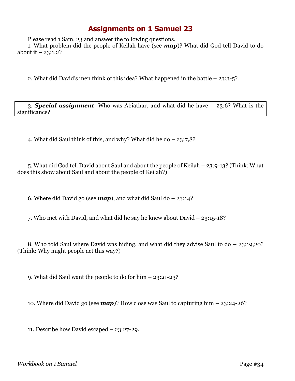Please read 1 Sam. 23 and answer the following questions.

1. What problem did the people of Keilah have (see *map*)? What did God tell David to do about it  $-23:1,2?$ 

2. What did David's men think of this idea? What happened in the battle – 23:3-5?

3. *Special assignment*: Who was Abiathar, and what did he have – 23:6? What is the significance?

4. What did Saul think of this, and why? What did he do – 23:7,8?

5. What did God tell David about Saul and about the people of Keilah – 23:9-13? (Think: What does this show about Saul and about the people of Keilah?)

6. Where did David go (see  $map$ ), and what did Saul do  $-23:14$ ?

7. Who met with David, and what did he say he knew about David – 23:15-18?

8. Who told Saul where David was hiding, and what did they advise Saul to do – 23:19,20? (Think: Why might people act this way?)

9. What did Saul want the people to do for him – 23:21-23?

10. Where did David go (see *map*)? How close was Saul to capturing him – 23:24-26?

11. Describe how David escaped – 23:27-29.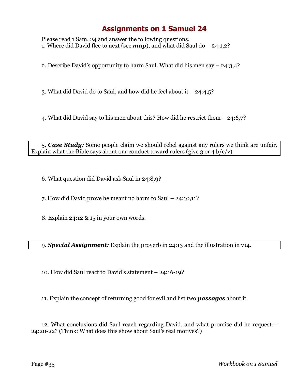Please read 1 Sam. 24 and answer the following questions. 1. Where did David flee to next (see  $map$ ), and what did Saul do – 24:1,2?

2. Describe David's opportunity to harm Saul. What did his men say – 24:3,4?

3. What did David do to Saul, and how did he feel about it – 24:4,5?

4. What did David say to his men about this? How did he restrict them – 24:6,7?

5. *Case Study:* Some people claim we should rebel against any rulers we think are unfair. Explain what the Bible says about our conduct toward rulers (give 3 or 4 b/c/v).

6. What question did David ask Saul in 24:8,9?

7. How did David prove he meant no harm to Saul – 24:10,11?

8. Explain 24:12 & 15 in your own words.

9. *Special Assignment:* Explain the proverb in 24:13 and the illustration in v14.

10. How did Saul react to David's statement – 24:16-19?

11. Explain the concept of returning good for evil and list two *passages* about it.

12. What conclusions did Saul reach regarding David, and what promise did he request – 24:20-22? (Think: What does this show about Saul's real motives?)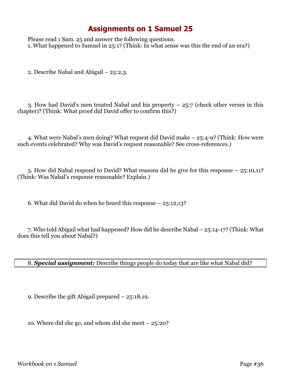Please read 1 Sam. 25 and answer the following questions. 1. What happened to Samuel in 25:1? (Think: In what sense was this the end of an era?)

2. Describe Nabal and Abigail – 25:2,3.

3. How had David's men treated Nabal and his property  $-25:7$  (check other verses in this chapter)? (Think: What proof did David offer to confirm this?)

4. What were Nabal's men doing? What request did David make – 25:4-9? (Think: How were such events celebrated? Why was David's request reasonable? See cross-references.)

5. How did Nabal respond to David? What reasons did he give for this response – 25:10,11? (Think: Was Nabal's response reasonable? Explain.)

6. What did David do when he heard this response – 25:12,13?

7. Who told Abigail what had happened? How did he describe Nabal – 25:14-17? (Think: What does this tell you about Nabal?)

8. *Special assignment:* Describe things people do today that are like what Nabal did?

9. Describe the gift Abigail prepared – 25:18,19.

10. Where did she go, and whom did she meet – 25:20?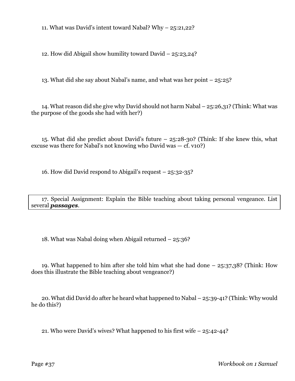11. What was David's intent toward Nabal? Why – 25:21,22?

12. How did Abigail show humility toward David – 25:23,24?

13. What did she say about Nabal's name, and what was her point – 25:25?

14. What reason did she give why David should not harm Nabal – 25:26,31? (Think: What was the purpose of the goods she had with her?)

15. What did she predict about David's future – 25:28-30? (Think: If she knew this, what excuse was there for Nabal's not knowing who David was  $-$  cf. v10?)

16. How did David respond to Abigail's request – 25:32-35?

17. Special Assignment: Explain the Bible teaching about taking personal vengeance. List several *passages*.

18. What was Nabal doing when Abigail returned – 25:36?

19. What happened to him after she told him what she had done – 25:37,38? (Think: How does this illustrate the Bible teaching about vengeance?)

20. What did David do after he heard what happened to Nabal – 25:39-41? (Think: Why would he do this?)

21. Who were David's wives? What happened to his first wife – 25:42-44?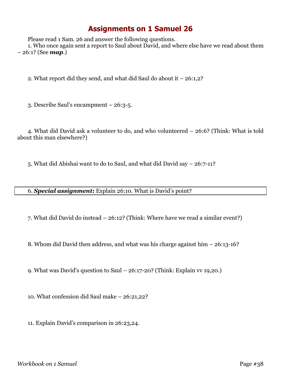Please read 1 Sam. 26 and answer the following questions.

1. Who once again sent a report to Saul about David, and where else have we read about them – 26:1? (See *map*.)

2. What report did they send, and what did Saul do about it – 26:1,2?

3. Describe Saul's encampment – 26:3-5.

4. What did David ask a volunteer to do, and who volunteered – 26:6? (Think: What is told about this man elsewhere?)

5. What did Abishai want to do to Saul, and what did David say – 26:7-11?

6. *Special assignment:* Explain 26:10. What is David's point?

7. What did David do instead – 26:12? (Think: Where have we read a similar event?)

8. Whom did David then address, and what was his charge against him – 26:13-16?

9. What was David's question to Saul – 26:17-20? (Think: Explain vv 19,20.)

10. What confession did Saul make – 26:21,22?

11. Explain David's comparison in 26:23,24.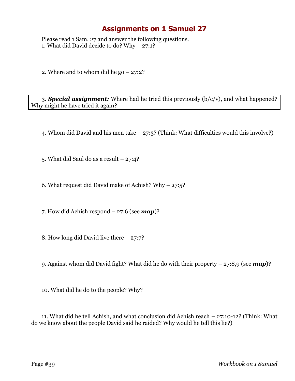Please read 1 Sam. 27 and answer the following questions. 1. What did David decide to do? Why – 27:1?

2. Where and to whom did he go  $-27:2$ ?

3. *Special assignment:* Where had he tried this previously (b/c/v), and what happened? Why might he have tried it again?

4. Whom did David and his men take – 27:3? (Think: What difficulties would this involve?)

5. What did Saul do as a result  $-27:4$ ?

6. What request did David make of Achish? Why  $-$  27:5?

7. How did Achish respond – 27:6 (see *map*)?

8. How long did David live there – 27:7?

9. Against whom did David fight? What did he do with their property – 27:8,9 (see *map*)?

10. What did he do to the people? Why?

11. What did he tell Achish, and what conclusion did Achish reach – 27:10-12? (Think: What do we know about the people David said he raided? Why would he tell this lie?)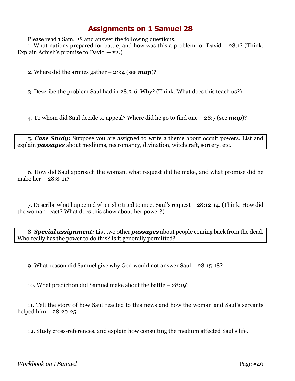Please read 1 Sam. 28 and answer the following questions.

1. What nations prepared for battle, and how was this a problem for David – 28:1? (Think: Explain Achish's promise to David  $-$  v2.)

2. Where did the armies gather – 28:4 (see *map*)?

3. Describe the problem Saul had in 28:3-6. Why? (Think: What does this teach us?)

4. To whom did Saul decide to appeal? Where did he go to find one – 28:7 (see *map*)?

5. *Case Study:* Suppose you are assigned to write a theme about occult powers. List and explain *passages* about mediums, necromancy, divination, witchcraft, sorcery, etc.

6. How did Saul approach the woman, what request did he make, and what promise did he make her – 28:8-11?

7. Describe what happened when she tried to meet Saul's request – 28:12-14. (Think: How did the woman react? What does this show about her power?)

8. *Special assignment:* List two other *passages* about people coming back from the dead. Who really has the power to do this? Is it generally permitted?

9. What reason did Samuel give why God would not answer Saul – 28:15-18?

10. What prediction did Samuel make about the battle – 28:19?

11. Tell the story of how Saul reacted to this news and how the woman and Saul's servants helped him  $-28:20-25$ .

12. Study cross-references, and explain how consulting the medium affected Saul's life.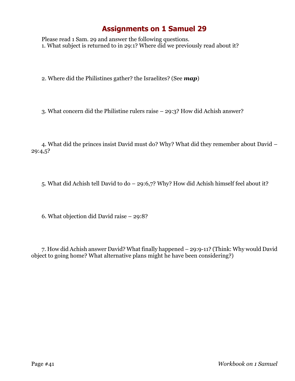Please read 1 Sam. 29 and answer the following questions. 1. What subject is returned to in 29:1? Where did we previously read about it?

2. Where did the Philistines gather? the Israelites? (See *map*)

3. What concern did the Philistine rulers raise – 29:3? How did Achish answer?

4. What did the princes insist David must do? Why? What did they remember about David – 29:4,5?

5. What did Achish tell David to do – 29:6,7? Why? How did Achish himself feel about it?

6. What objection did David raise – 29:8?

7. How did Achish answer David? What finally happened – 29:9-11? (Think: Why would David object to going home? What alternative plans might he have been considering?)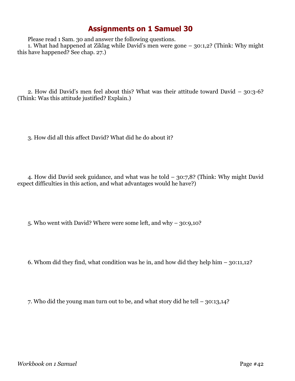Please read 1 Sam. 30 and answer the following questions.

1. What had happened at Ziklag while David's men were gone – 30:1,2? (Think: Why might this have happened? See chap. 27.)

2. How did David's men feel about this? What was their attitude toward David – 30:3-6? (Think: Was this attitude justified? Explain.)

3. How did all this affect David? What did he do about it?

4. How did David seek guidance, and what was he told – 30:7,8? (Think: Why might David expect difficulties in this action, and what advantages would he have?)

5. Who went with David? Where were some left, and why – 30:9,10?

6. Whom did they find, what condition was he in, and how did they help him – 30:11,12?

7. Who did the young man turn out to be, and what story did he tell – 30:13,14?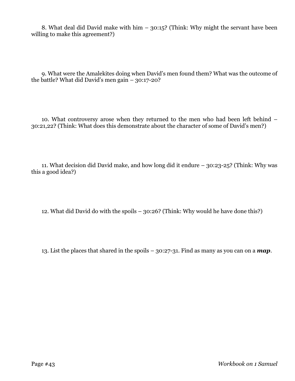8. What deal did David make with him – 30:15? (Think: Why might the servant have been willing to make this agreement?)

9. What were the Amalekites doing when David's men found them? What was the outcome of the battle? What did David's men gain – 30:17-20?

10. What controversy arose when they returned to the men who had been left behind – 30:21,22? (Think: What does this demonstrate about the character of some of David's men?)

11. What decision did David make, and how long did it endure – 30:23-25? (Think: Why was this a good idea?)

12. What did David do with the spoils – 30:26? (Think: Why would he have done this?)

13. List the places that shared in the spoils – 30:27-31. Find as many as you can on a *map*.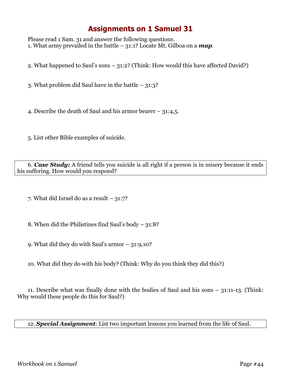Please read 1 Sam. 31 and answer the following questions. 1. What army prevailed in the battle – 31:1? Locate Mt. Gilboa on a *map*.

2. What happened to Saul's sons – 31:2? (Think: How would this have affected David?)

3. What problem did Saul have in the battle – 31:3?

4. Describe the death of Saul and his armor bearer – 31:4,5.

5. List other Bible examples of suicide.

6. *Case Study:* A friend tells you suicide is all right if a person is in misery because it ends his suffering. How would you respond?

7. What did Israel do as a result  $-31:7$ ?

8. When did the Philistines find Saul's body  $-31:8$ ?

9. What did they do with Saul's armor – 31:9,10?

10. What did they do with his body? (Think: Why do you think they did this?)

11. Describe what was finally done with the bodies of Saul and his sons – 31:11-13. (Think: Why would these people do this for Saul?)

12. *Special Assignment*: List two important lessons you learned from the life of Saul.